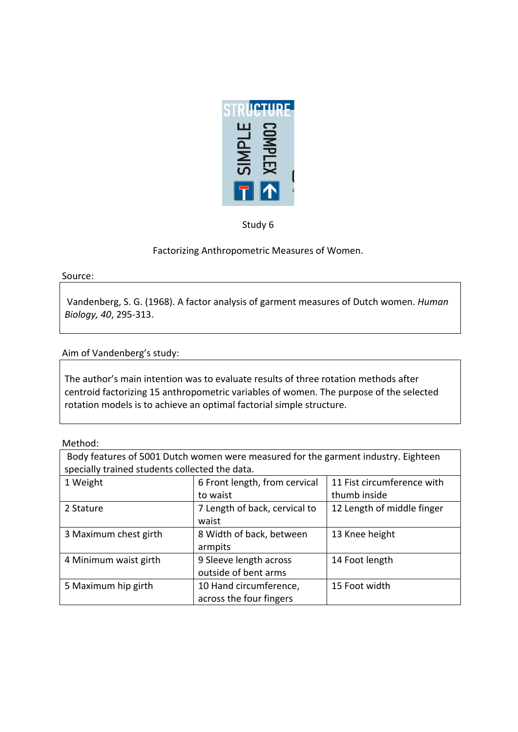

Study 6

Factorizing Anthropometric Measures of Women.

Source:

Vandenberg, S. G. (1968). A factor analysis of garment measures of Dutch women. *Human Biology, 40, 295-313.* 

Aim of Vandenberg's study:

The author's main intention was to evaluate results of three rotation methods after centroid factorizing 15 anthropometric variables of women. The purpose of the selected rotation models is to achieve an optimal factorial simple structure.

Method:

| Body features of 5001 Dutch women were measured for the garment industry. Eighteen<br>specially trained students collected the data. |                                                                                         |                            |  |
|--------------------------------------------------------------------------------------------------------------------------------------|-----------------------------------------------------------------------------------------|----------------------------|--|
| 1 Weight                                                                                                                             | 11 Fist circumference with<br>6 Front length, from cervical<br>thumb inside<br>to waist |                            |  |
| 2 Stature                                                                                                                            | 7 Length of back, cervical to<br>waist                                                  | 12 Length of middle finger |  |
| 3 Maximum chest girth                                                                                                                | 8 Width of back, between<br>armpits                                                     | 13 Knee height             |  |
| 4 Minimum waist girth                                                                                                                | 9 Sleeve length across<br>outside of bent arms                                          | 14 Foot length             |  |
| 5 Maximum hip girth                                                                                                                  | 10 Hand circumference,<br>15 Foot width<br>across the four fingers                      |                            |  |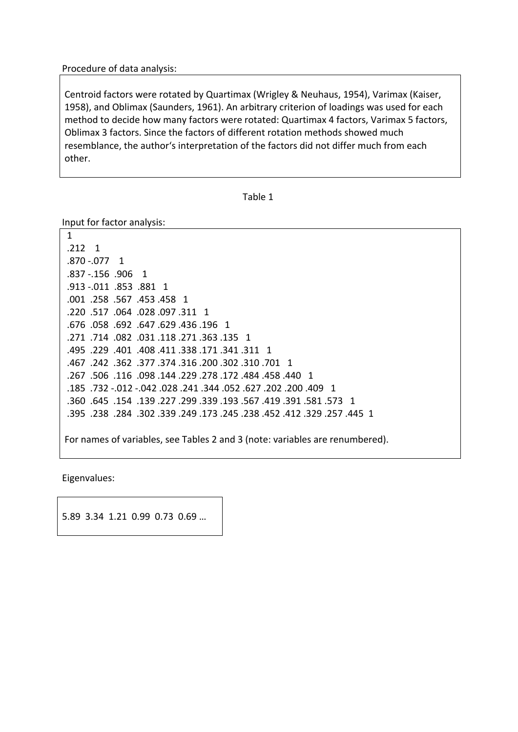Procedure of data analysis:

Centroid factors were rotated by Quartimax (Wrigley & Neuhaus, 1954), Varimax (Kaiser, 1958), and Oblimax (Saunders, 1961). An arbitrary criterion of loadings was used for each method to decide how many factors were rotated: Quartimax 4 factors, Varimax 5 factors, Oblimax 3 factors. Since the factors of different rotation methods showed much resemblance, the author's interpretation of the factors did not differ much from each other.

```
Table 1
```
Input for factor analysis:

1  $.212 \quad 1$ .870 -.077 1 .837 -.156 .906 1 .913 -.011 .853 .881 1 .001 .258 .567 .453 .458 1 .220 .517 .064 .028 .097 .311 1 .676 .058 .692 .647 .629 .436 .196 .271 .714 .082 .031 .118 .271 .363 .135 1 .495 .229 .401 .408 .411 .338 .171 .341 .311 1 .467 .242 .362 .377 .374 .316 .200 .302 .310 .701 .267 .506 .116 .098 .144 .229 .278 .172 .484 .458 .440 .267 .185 .732 -.012 -.042 .028 .241 .344 .052 .627 .022 .185. 241 .360 .645. .154 .139 .227 .299 .339 .193 .567 .419 .391 .581 .573 1 .395 .238 .284 .302 .339 .249 .173 .245 .238 .452 .312 .395. 255. For names of variables, see Tables 2 and 3 (note: variables are renumbered).

Eigenvalues:

5.89 3.34 1.21 0.99 0.73 0.69 ...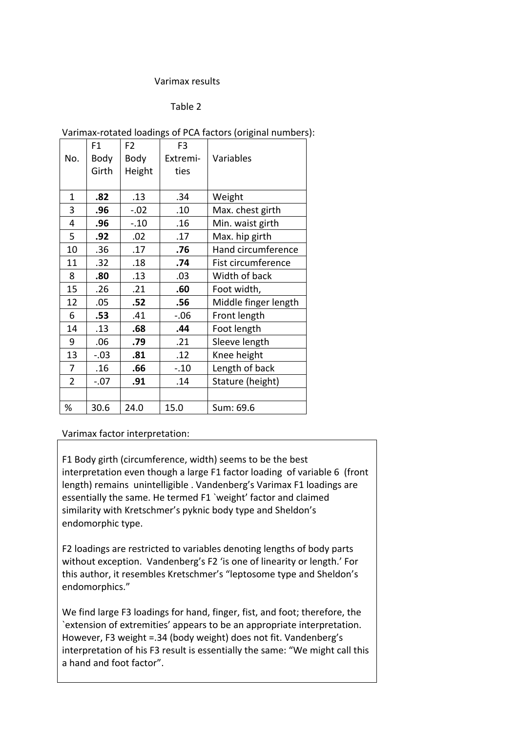### Varimax results

#### Table 2

|                | F1     | F <sub>2</sub> | F <sub>3</sub> |                      |
|----------------|--------|----------------|----------------|----------------------|
| No.            | Body   | Body           | Extremi-       | Variables            |
|                | Girth  | Height         | ties           |                      |
|                |        |                |                |                      |
| 1              | .82    | .13            | .34            | Weight               |
| 3              | .96    | $-.02$         | .10            | Max. chest girth     |
| 4              | .96    | $-.10$         | .16            | Min. waist girth     |
| 5              | .92    | .02            | .17            | Max. hip girth       |
| 10             | .36    | .17            | .76            | Hand circumference   |
| 11             | .32    | .18            | .74            | Fist circumference   |
| 8              | .80    | .13            | .03            | Width of back        |
| 15             | .26    | .21            | .60            | Foot width,          |
| 12             | .05    | .52            | .56            | Middle finger length |
| 6              | .53    | .41            | $-.06$         | Front length         |
| 14             | .13    | .68            | .44            | Foot length          |
| 9              | .06    | .79            | .21            | Sleeve length        |
| 13             | $-.03$ | .81            | .12            | Knee height          |
| 7              | .16    | .66            | $-.10$         | Length of back       |
| $\overline{2}$ | $-.07$ | .91            | .14            | Stature (height)     |
|                |        |                |                |                      |
| %              | 30.6   | 24.0           | 15.0           | Sum: 69.6            |

#### Varimax factor interpretation:

F1 Body girth (circumference, width) seems to be the best interpretation even though a large F1 factor loading of variable 6 (front length) remains unintelligible . Vandenberg's Varimax F1 loadings are essentially the same. He termed F1 'weight' factor and claimed similarity with Kretschmer's pyknic body type and Sheldon's endomorphic type.

F2 loadings are restricted to variables denoting lengths of body parts without exception. Vandenberg's F2 'is one of linearity or length.' For this author, it resembles Kretschmer's "leptosome type and Sheldon's endomorphics."

We find large F3 loadings for hand, finger, fist, and foot; therefore, the `extension of extremities' appears to be an appropriate interpretation. However, F3 weight =.34 (body weight) does not fit. Vandenberg's interpretation of his F3 result is essentially the same: "We might call this a hand and foot factor".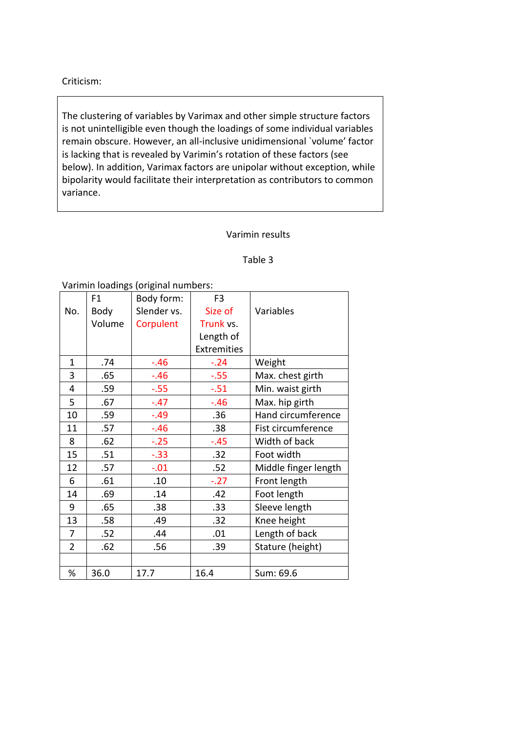# Criticism:

The clustering of variables by Varimax and other simple structure factors is not unintelligible even though the loadings of some individual variables remain obscure. However, an all-inclusive unidimensional 'volume' factor is lacking that is revealed by Varimin's rotation of these factors (see below). In addition, Varimax factors are unipolar without exception, while bipolarity would facilitate their interpretation as contributors to common variance.

### Varimin results

### Table 3

Varimin loadings (original numbers:

|                | F1     | Body form:  | F <sub>3</sub>     |                      |
|----------------|--------|-------------|--------------------|----------------------|
| No.            | Body   | Slender vs. | Size of            | Variables            |
|                | Volume | Corpulent   | Trunk vs.          |                      |
|                |        |             | Length of          |                      |
|                |        |             | <b>Extremities</b> |                      |
| $\mathbf{1}$   | .74    | $-.46$      | $-.24$             | Weight               |
| 3              | .65    | $-.46$      | $-0.55$            | Max. chest girth     |
| 4              | .59    | $-.55$      | $-.51$             | Min. waist girth     |
| 5              | .67    | $-.47$      | $-.46$             | Max. hip girth       |
| 10             | .59    | $-.49$      | .36                | Hand circumference   |
| 11             | .57    | $-.46$      | .38                | Fist circumference   |
| 8              | .62    | $-.25$      | $-.45$             | Width of back        |
| 15             | .51    | $-.33$      | .32                | Foot width           |
| 12             | .57    | $-.01$      | .52                | Middle finger length |
| 6              | .61    | .10         | $-.27$             | Front length         |
| 14             | .69    | .14         | .42                | Foot length          |
| 9              | .65    | .38         | .33                | Sleeve length        |
| 13             | .58    | .49         | .32                | Knee height          |
| 7              | .52    | .44         | .01                | Length of back       |
| $\overline{2}$ | .62    | .56         | .39                | Stature (height)     |
|                |        |             |                    |                      |
| %              | 36.0   | 17.7        | 16.4               | Sum: 69.6            |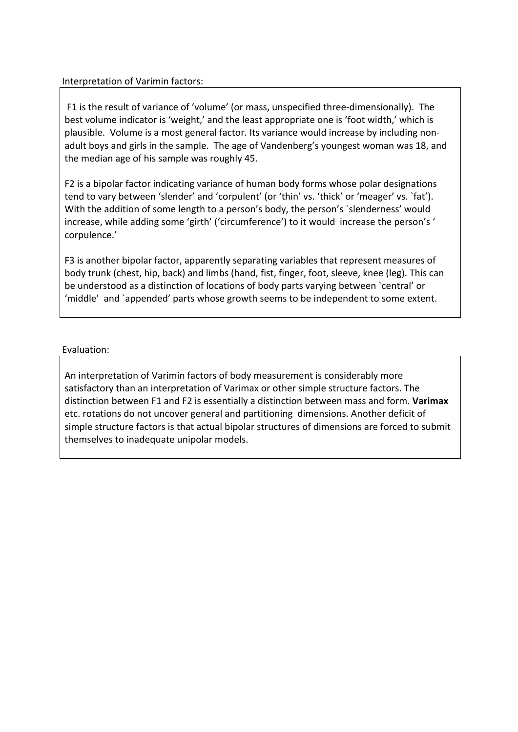# Interpretation of Varimin factors:

F1 is the result of variance of 'volume' (or mass, unspecified three-dimensionally). The best volume indicator is 'weight,' and the least appropriate one is 'foot width,' which is plausible. Volume is a most general factor. Its variance would increase by including nonadult boys and girls in the sample. The age of Vandenberg's youngest woman was 18, and the median age of his sample was roughly 45.

F2 is a bipolar factor indicating variance of human body forms whose polar designations tend to vary between 'slender' and 'corpulent' (or 'thin' vs. 'thick' or 'meager' vs. 'fat'). With the addition of some length to a person's body, the person's `slenderness' would increase, while adding some 'girth' ('circumference') to it would increase the person's ' corpulence.'

F3 is another bipolar factor, apparently separating variables that represent measures of body trunk (chest, hip, back) and limbs (hand, fist, finger, foot, sleeve, knee (leg). This can be understood as a distinction of locations of body parts varying between 'central' or 'middle' and `appended' parts whose growth seems to be independent to some extent.

# Evaluation:

An interpretation of Varimin factors of body measurement is considerably more satisfactory than an interpretation of Varimax or other simple structure factors. The distinction between F1 and F2 is essentially a distinction between mass and form. **Varimax** etc. rotations do not uncover general and partitioning dimensions. Another deficit of simple structure factors is that actual bipolar structures of dimensions are forced to submit themselves to inadequate unipolar models.